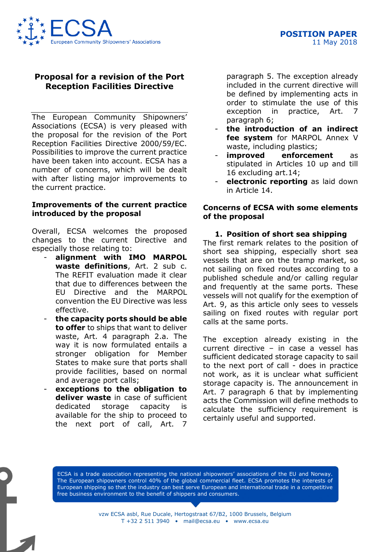

# **Proposal for a revision of the Port Reception Facilities Directive**

The European Community Shipowners' Associations (ECSA) is very pleased with the proposal for the revision of the Port Reception Facilities Directive 2000/59/EC. Possibilities to improve the current practice have been taken into account. ECSA has a number of concerns, which will be dealt with after listing major improvements to the current practice.

#### **Improvements of the current practice introduced by the proposal**

Overall, ECSA welcomes the proposed changes to the current Directive and especially those relating to:

- **alignment with IMO MARPOL waste definitions**, Art. 2 sub c. The REFIT evaluation made it clear that due to differences between the EU Directive and the MARPOL convention the EU Directive was less effective.
- **the capacity ports should be able to offer** to ships that want to deliver waste, Art. 4 paragraph 2.a. The way it is now formulated entails a stronger obligation for Member States to make sure that ports shall provide facilities, based on normal and average port calls;
- exceptions to the obligation to **deliver waste** in case of sufficient dedicated storage capacity is available for the ship to proceed to the next port of call, Art. 7

paragraph 5. The exception already included in the current directive will be defined by implementing acts in order to stimulate the use of this exception in practice, Art. 7 paragraph 6;

- **the introduction of an indirect fee system** for MARPOL Annex V waste, including plastics;
- **improved** enforcement as stipulated in Articles 10 up and till 16 excluding art.14;
- **electronic reporting** as laid down in Article 14.

## **Concerns of ECSA with some elements of the proposal**

### **1. Position of short sea shipping**

The first remark relates to the position of short sea shipping, especially short sea vessels that are on the tramp market, so not sailing on fixed routes according to a published schedule and/or calling regular and frequently at the same ports. These vessels will not qualify for the exemption of Art. 9, as this article only sees to vessels sailing on fixed routes with regular port calls at the same ports.

The exception already existing in the current directive – in case a vessel has sufficient dedicated storage capacity to sail to the next port of call - does in practice not work, as it is unclear what sufficient storage capacity is. The announcement in Art. 7 paragraph 6 that by implementing acts the Commission will define methods to calculate the sufficiency requirement is certainly useful and supported.

ECSA is a trade association representing the national shipowners' associations of the EU and Norway. The European shipowners control 40% of the global commercial fleet. ECSA promotes the interests of European shipping so that the industry can best serve European and international trade in a competitive free business environment to the benefit of shippers and consumers.

> vzw ECSA asbl, Rue Ducale, Hertogstraat 67/B2, 1000 Brussels, Belgium T +32 2 511 3940 • mail@ecsa.eu • www.ecsa.eu